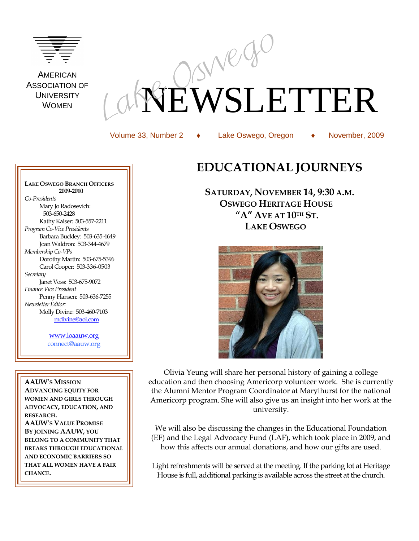

**AMERICAN** ASSOCIATION OF **UNIVERSITY** WOMEN

# EWSLETTER

Volume 33, Number 2 Lake Oswego, Oregon November, 2009

# **LAKE OSWEGO BRANCH OFFICERS EDUCATIONAL JOURNEYS SATURDAY, NOVEMBER 14, 9:30 A.M.**



 **OSWEGO HERITAGE HOUSE "A" AVE AT 10TH ST. LAKE OSWEGO**

Olivia Yeung will share her personal history of gaining a college education and then choosing Americorp volunteer work. She is currently the Alumni Mentor Program Coordinator at Marylhurst for the national Americorp program. She will also give us an insight into her work at the university.

We will also be discussing the changes in the Educational Foundation (EF) and the Legal Advocacy Fund (LAF), which took place in 2009, and how this affects our annual donations, and how our gifts are used.

Light refreshments will be served at the meeting. If the parking lot at Heritage House is full, additional parking is available across the street at the church.

 **2009-2010** *Co-Presidents* Mary Jo Radosevich: 503-650-2428 Kathy Kaiser: 503-557-2211 *Program Co-Vice Presidents* Barbara Buckley: 503-635-4649 Joan Waldron: 503-344-4679 *Membership Co-VPs* Dorothy Martin: 503-675-5396 Carol Cooper: 503-336-0503 *Secretary* Janet Voss: 503-675-9072 *Finance Vice President*  Penny Hansen: 503-636-7255 *Newsletter Editor:* Molly Divine: 503-460-7103 [mdivine@aol.com](mailto:mdivine@aol.com)

> [www.loaauw.org](http://www.loaauw.org/) connect@aauw.org

**AAUW'S MISSION ADVANCING EQUITY FOR WOMEN AND GIRLS THROUGH ADVOCACY, EDUCATION, AND RESEARCH. AAUW'S VALUE PROMISE BY JOINING AAUW, YOU BELONG TO A COMMUNITY THAT BREAKS THROUGH EDUCATIONAL AND ECONOMIC BARRIERS SO THAT ALL WOMEN HAVE A FAIR CHANCE.**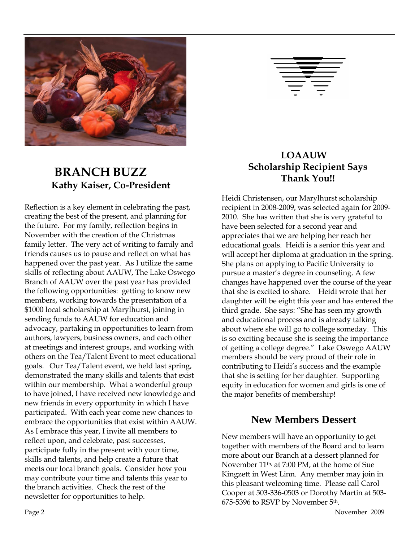

## **BRANCH BUZZ Kathy Kaiser, Co-President**

Reflection is a key element in celebrating the past, creating the best of the present, and planning for the future. For my family, reflection begins in November with the creation of the Christmas family letter. The very act of writing to family and friends causes us to pause and reflect on what has happened over the past year. As I utilize the same skills of reflecting about AAUW, The Lake Oswego Branch of AAUW over the past year has provided the following opportunities: getting to know new members, working towards the presentation of a \$1000 local scholarship at Marylhurst, joining in sending funds to AAUW for education and advocacy, partaking in opportunities to learn from authors, lawyers, business owners, and each other at meetings and interest groups, and working with others on the Tea/Talent Event to meet educational goals. Our Tea/Talent event, we held last spring, demonstrated the many skills and talents that exist within our membership. What a wonderful group to have joined, I have received new knowledge and new friends in every opportunity in which I have participated. With each year come new chances to embrace the opportunities that exist within AAUW. As I embrace this year, I invite all members to reflect upon, and celebrate, past successes, participate fully in the present with your time, skills and talents, and help create a future that meets our local branch goals. Consider how you may contribute your time and talents this year to the branch activities. Check the rest of the newsletter for opportunities to help.

#### **LOAAUW Scholarship Recipient Says Thank You!!**

Heidi Christensen, our Marylhurst scholarship recipient in 2008-2009, was selected again for 2009- 2010. She has written that she is very grateful to have been selected for a second year and appreciates that we are helping her reach her educational goals. Heidi is a senior this year and will accept her diploma at graduation in the spring. She plans on applying to Pacific University to pursue a master's degree in counseling. A few changes have happened over the course of the year that she is excited to share. Heidi wrote that her daughter will be eight this year and has entered the third grade. She says: "She has seen my growth and educational process and is already talking about where she will go to college someday. This is so exciting because she is seeing the importance of getting a college degree." Lake Oswego AAUW members should be very proud of their role in contributing to Heidi's success and the example that she is setting for her daughter. Supporting equity in education for women and girls is one of the major benefits of membership!

#### **New Members Dessert**

New members will have an opportunity to get together with members of the Board and to learn more about our Branch at a dessert planned for November 11th, at 7:00 PM, at the home of Sue Kingzett in West Linn. Any member may join in this pleasant welcoming time. Please call Carol Cooper at 503-336-0503 or Dorothy Martin at 503- 675-5396 to RSVP by November 5th.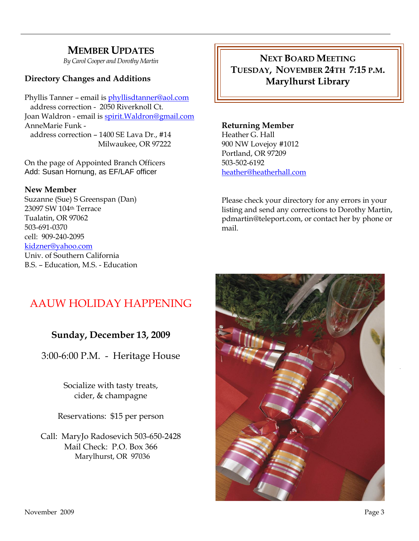#### **MEMBER UPDATES**

*By Carol Cooper and Dorothy Martin*

#### **Directory Changes and Additions**

Phyllis Tanner – email is [phyllisdtanner@aol.com](mailto:phyllisdtanner@aol.com) address correction - 2050 Riverknoll Ct. Joan Waldron - email is [spirit.Waldron@gmail.com](mailto:spirit.Waldron@gmail.com) AnneMarie Funk address correction – 1400 SE Lava Dr., #14 Milwaukee, OR 97222

On the page of Appointed Branch Officers Add: Susan Hornung, as EF/LAF officer

#### **New Member**

Suzanne (Sue) S Greenspan (Dan) 23097 SW 104th Terrace Tualatin, OR 97062 503-691-0370 cell: 909-240-2095 [kidzner@yahoo.com](mailto:kidzner@yahoo.com) Univ. of Southern California B.S. – Education, M.S. - Education

**NEXT BOARD MEETING TUESDAY, NOVEMBER 24TH 7:15 P.M. Marylhurst Library**

#### **Returning Member**

Heather G. Hall 900 NW Lovejoy #1012 Portland, OR 97209 503-502-6192 [heather@heatherhall.com](mailto:heather@heatherhall.com)

Please check your directory for any errors in your listing and send any corrections to Dorothy Martin, pdmartin@teleport.com, or contact her by phone or mail.

#### AAUW HOLIDAY HAPPENING

#### **Sunday, December 13, 2009**

3:00-6:00 P.M. - Heritage House

Socialize with tasty treats, cider, & champagne

Reservations: \$15 per person

Call: MaryJo Radosevich 503-650-2428 Mail Check: P.O. Box 366 Marylhurst, OR 97036

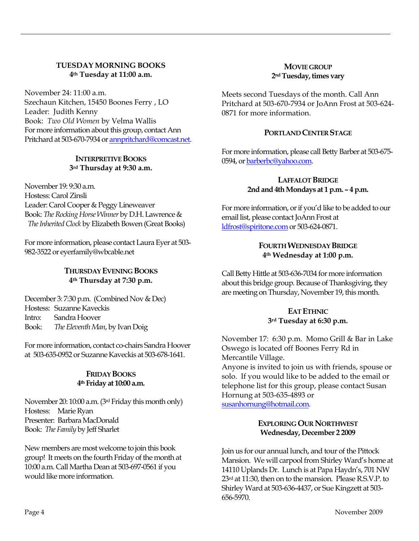#### **TUESDAY MORNING BOOKS 4th Tuesday at 11:00 a.m.**

November 24: 11:00 a.m. Szechaun Kitchen, 15450 Boones Ferry , LO Leader: Judith Kenny Book: *Two Old Women* by Velma Wallis For more information about this group, contact Ann Pritchard at 503-670-7934 o[r annpritchard@comcast.net.](mailto:annpritchard@comcast.net)

#### **INTERPRETIVE BOOKS 3rd Thursday at 9:30 a.m.**

November 19: 9:30 a.m. Hostess: Carol Zinsli Leader: Carol Cooper & Peggy Lineweaver Book: *The Rocking Horse Winner* by D.H. Lawrence & *The Inherited Clock* by Elizabeth Bowen (Great Books)

For more information, please contact Laura Eyer at 503- 982-3522 or eyerfamily@wbcable.net

#### **THURSDAY EVENING BOOKS 4th Thursday at 7:30 p.m.**

December 3: 7:30 p.m. (Combined Nov & Dec) Hostess: Suzanne Kaveckis Intro: Sandra Hoover Book: *The Eleventh Man*, by Ivan Doig

For more information, contact co-chairs Sandra Hoover at 503-635-0952 or Suzanne Kaveckis at 503-678-1641.

#### **FRIDAY BOOKS 4th Friday at 10:00 a.m.**

November 20: 10:00 a.m. (3rd Friday this month only) Hostess: Marie Ryan Presenter: Barbara MacDonald Book: *The Family* by Jeff Sharlet

New members are most welcome to join this book group! It meets on the fourth Friday of the month at 10:00 a.m. Call Martha Dean at 503-697-0561 if you would like more information.

#### **MOVIE GROUP 2ndTuesday, times vary**

Meets second Tuesdays of the month. Call Ann Pritchard at 503-670-7934 or JoAnn Frost at 503-624- 0871 for more information.

#### **PORTLAND CENTER STAGE**

For more information, please call Betty Barber at 503-675- 0594, o[r barberbc@yahoo.com.](mailto:barberbc@yahoo.com) 

#### **LAFFALOT BRIDGE 2nd and 4th Mondays at 1 p.m. – 4 p.m.**

For more information, or if you'd like to be added to our email list, please contact JoAnn Frost at [ldfrost@spiritone.com](mailto:ldfrost@spiritone.com) or 503-624-0871.

#### **FOURTH WEDNESDAY BRIDGE 4th Wednesday at 1:00 p.m.**

Call Betty Hittle at 503-636-7034 for more information about this bridge group. Because of Thanksgiving, they are meeting on Thursday, November 19, this month.

#### **EAT ETHNIC 3rd Tuesday at 6:30 p.m.**

November 17: 6:30 p.m. Momo Grill & Bar in Lake Oswego is located off Boones Ferry Rd in Mercantile Village.

Anyone is invited to join us with friends, spouse or solo. If you would like to be added to the email or telephone list for this group, please contact Susan Hornung at 503-635-4893 or [susanhornung@hotmail.com.](http://mailcenter.comcast.net/wmc/v/wm/45FDFA22000D96810000035A22007503309B9D0E08050C01049B0A020E06?cmd=ComposeTo&adr=susanhornung%40hotmail%2Ecom&sid=c0)

#### **EXPLORING OUR NORTHWEST Wednesday, December 2 2009**

Join us for our annual lunch, and tour of the Pittock Mansion. We will carpool from Shirley Ward's home at 14110 Uplands Dr. Lunch is at Papa Haydn's, 701 NW 23<sup>rd</sup> at 11:30, then on to the mansion. Please R.S.V.P. to Shirley Ward at 503-636-4437, or Sue Kingzett at 503- 656-5970.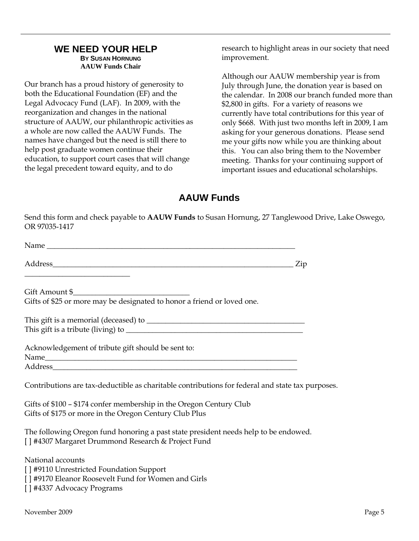#### **WE NEED YOUR HELP BY SUSAN HORNUNG AAUW Funds Chair**

Our branch has a proud history of generosity to both the Educational Foundation (EF) and the Legal Advocacy Fund (LAF). In 2009, with the reorganization and changes in the national structure of AAUW, our philanthropic activities as a whole are now called the AAUW Funds. The names have changed but the need is still there to help post graduate women continue their education, to support court cases that will change the legal precedent toward equity, and to do

research to highlight areas in our society that need improvement.

Although our AAUW membership year is from July through June, the donation year is based on the calendar. In 2008 our branch funded more than \$2,800 in gifts. For a variety of reasons we currently have total contributions for this year of only \$668. With just two months left in 2009, I am asking for your generous donations. Please send me your gifts now while you are thinking about this. You can also bring them to the November meeting. Thanks for your continuing support of important issues and educational scholarships.

#### **AAUW Funds**

Send this form and check payable to **AAUW Funds** to Susan Hornung, 27 Tanglewood Drive, Lake Oswego, OR 97035-1417

| <u> 1989 - Johann John Stone, mensk politik fotograf (d. 1989)</u>                                                                        |  |
|-------------------------------------------------------------------------------------------------------------------------------------------|--|
|                                                                                                                                           |  |
| Gifts of \$25 or more may be designated to honor a friend or loved one.                                                                   |  |
|                                                                                                                                           |  |
|                                                                                                                                           |  |
| Acknowledgement of tribute gift should be sent to:                                                                                        |  |
|                                                                                                                                           |  |
| Contributions are tax-deductible as charitable contributions for federal and state tax purposes.                                          |  |
| Gifts of \$100 - \$174 confer membership in the Oregon Century Club<br>Gifts of \$175 or more in the Oregon Century Club Plus             |  |
| The following Oregon fund honoring a past state president needs help to be endowed.<br>[] #4307 Margaret Drummond Research & Project Fund |  |
| National accounts                                                                                                                         |  |
| [] #9110 Unrestricted Foundation Support                                                                                                  |  |
| [] #9170 Eleanor Roosevelt Fund for Women and Girls                                                                                       |  |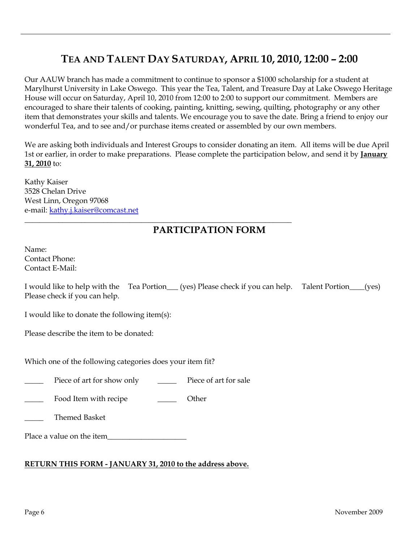### **TEA AND TALENT DAY SATURDAY, APRIL 10, 2010, 12:00 – 2:00**

Our AAUW branch has made a commitment to continue to sponsor a \$1000 scholarship for a student at Marylhurst University in Lake Oswego. This year the Tea, Talent, and Treasure Day at Lake Oswego Heritage House will occur on Saturday, April 10, 2010 from 12:00 to 2:00 to support our commitment. Members are encouraged to share their talents of cooking, painting, knitting, sewing, quilting, photography or any other item that demonstrates your skills and talents. We encourage you to save the date. Bring a friend to enjoy our wonderful Tea, and to see and/or purchase items created or assembled by our own members.

We are asking both individuals and Interest Groups to consider donating an item. All items will be due April 1st or earlier, in order to make preparations. Please complete the participation below, and send it by **January 31, 2010** to:

Kathy Kaiser 3528 Chelan Drive West Linn, Oregon 97068 e-mail: [kathy.j.kaiser@comcast.net](mailto:kathy.j.kaiser@comcast.net)

#### **PARTICIPATION FORM**

Name: Contact Phone: Contact E-Mail:

I would like to help with the Tea Portion\_\_\_ (yes) Please check if you can help. Talent Portion\_\_\_\_(yes) Please check if you can help.

I would like to donate the following item(s):

Please describe the item to be donated:

Which one of the following categories does your item fit?

Piece of art for show only Piece of art for sale

\_\_\_\_\_\_\_\_\_\_\_\_\_\_\_\_\_\_\_\_\_\_\_\_\_\_\_\_\_\_\_\_\_\_\_\_\_\_\_\_\_\_\_\_\_\_\_\_\_\_\_\_\_\_\_\_\_\_\_\_\_\_\_\_\_\_\_\_\_\_\_

Food Item with recipe \_\_\_\_\_\_\_\_\_\_\_ Other

\_\_\_\_\_ Themed Basket

Place a value on the item

#### **RETURN THIS FORM - JANUARY 31, 2010 to the address above.**